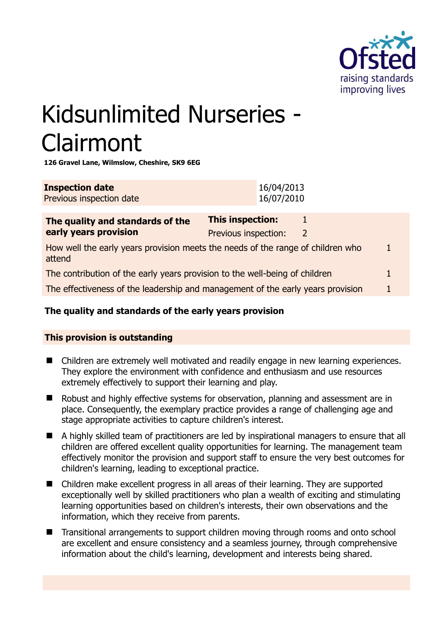

# Kidsunlimited Nurseries - Clairmont

**126 Gravel Lane, Wilmslow, Cheshire, SK9 6EG** 

| <b>Inspection date</b><br>Previous inspection date | 16/04/2013<br>16/07/2010 |
|----------------------------------------------------|--------------------------|
|                                                    |                          |
|                                                    |                          |

| The quality and standards of the                                                          | <b>This inspection:</b> |   |  |
|-------------------------------------------------------------------------------------------|-------------------------|---|--|
| early years provision                                                                     | Previous inspection:    | 2 |  |
| How well the early years provision meets the needs of the range of children who<br>attend |                         |   |  |
| The contribution of the early years provision to the well-being of children               |                         |   |  |
| The effectiveness of the leadership and management of the early years provision           |                         |   |  |

# **The quality and standards of the early years provision**

# **This provision is outstanding**

- Children are extremely well motivated and readily engage in new learning experiences. They explore the environment with confidence and enthusiasm and use resources extremely effectively to support their learning and play.
- Robust and highly effective systems for observation, planning and assessment are in place. Consequently, the exemplary practice provides a range of challenging age and stage appropriate activities to capture children's interest.
- A highly skilled team of practitioners are led by inspirational managers to ensure that all children are offered excellent quality opportunities for learning. The management team effectively monitor the provision and support staff to ensure the very best outcomes for children's learning, leading to exceptional practice.
- Children make excellent progress in all areas of their learning. They are supported exceptionally well by skilled practitioners who plan a wealth of exciting and stimulating learning opportunities based on children's interests, their own observations and the information, which they receive from parents.
- Transitional arrangements to support children moving through rooms and onto school are excellent and ensure consistency and a seamless journey, through comprehensive information about the child's learning, development and interests being shared.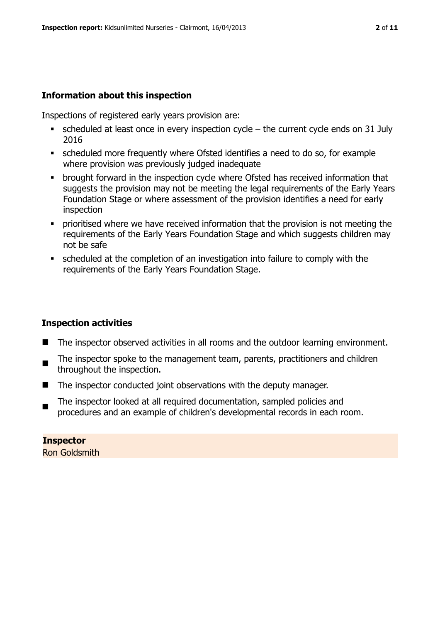# **Information about this inspection**

Inspections of registered early years provision are:

- scheduled at least once in every inspection cycle the current cycle ends on 31 July 2016
- scheduled more frequently where Ofsted identifies a need to do so, for example where provision was previously judged inadequate
- brought forward in the inspection cycle where Ofsted has received information that suggests the provision may not be meeting the legal requirements of the Early Years Foundation Stage or where assessment of the provision identifies a need for early inspection
- **•** prioritised where we have received information that the provision is not meeting the requirements of the Early Years Foundation Stage and which suggests children may not be safe
- scheduled at the completion of an investigation into failure to comply with the requirements of the Early Years Foundation Stage.

#### **Inspection activities**

- The inspector observed activities in all rooms and the outdoor learning environment.
- $\blacksquare$ The inspector spoke to the management team, parents, practitioners and children throughout the inspection.
- The inspector conducted joint observations with the deputy manager.
- The inspector looked at all required documentation, sampled policies and procedures and an example of children's developmental records in each room.

**Inspector**  Ron Goldsmith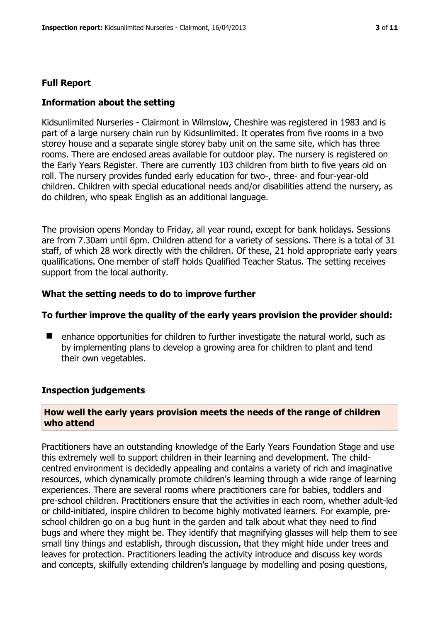# **Full Report**

#### **Information about the setting**

Kidsunlimited Nurseries - Clairmont in Wilmslow, Cheshire was registered in 1983 and is part of a large nursery chain run by Kidsunlimited. It operates from five rooms in a two storey house and a separate single storey baby unit on the same site, which has three rooms. There are enclosed areas available for outdoor play. The nursery is registered on the Early Years Register. There are currently 103 children from birth to five years old on roll. The nursery provides funded early education for two-, three- and four-year-old children. Children with special educational needs and/or disabilities attend the nursery, as do children, who speak English as an additional language.

The provision opens Monday to Friday, all year round, except for bank holidays. Sessions are from 7.30am until 6pm. Children attend for a variety of sessions. There is a total of 31 staff, of which 28 work directly with the children. Of these, 21 hold appropriate early years qualifications. One member of staff holds Qualified Teacher Status. The setting receives support from the local authority.

#### **What the setting needs to do to improve further**

#### **To further improve the quality of the early years provision the provider should:**

 $\blacksquare$  enhance opportunities for children to further investigate the natural world, such as by implementing plans to develop a growing area for children to plant and tend their own vegetables.

#### **Inspection judgements**

#### **How well the early years provision meets the needs of the range of children who attend**

Practitioners have an outstanding knowledge of the Early Years Foundation Stage and use this extremely well to support children in their learning and development. The childcentred environment is decidedly appealing and contains a variety of rich and imaginative resources, which dynamically promote children's learning through a wide range of learning experiences. There are several rooms where practitioners care for babies, toddlers and pre-school children. Practitioners ensure that the activities in each room, whether adult-led or child-initiated, inspire children to become highly motivated learners. For example, preschool children go on a bug hunt in the garden and talk about what they need to find bugs and where they might be. They identify that magnifying glasses will help them to see small tiny things and establish, through discussion, that they might hide under trees and leaves for protection. Practitioners leading the activity introduce and discuss key words and concepts, skilfully extending children's language by modelling and posing questions,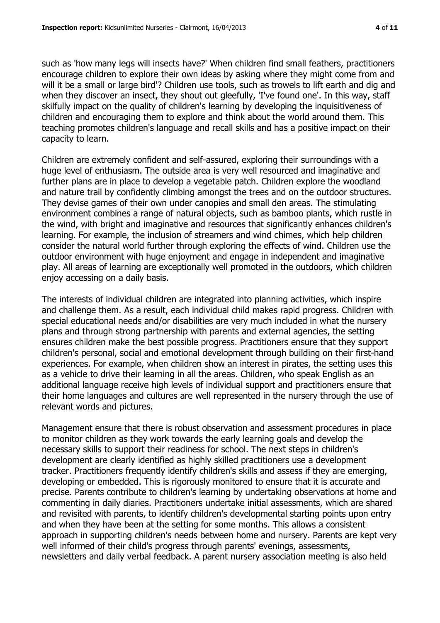such as 'how many legs will insects have?' When children find small feathers, practitioners encourage children to explore their own ideas by asking where they might come from and will it be a small or large bird'? Children use tools, such as trowels to lift earth and dig and when they discover an insect, they shout out gleefully, 'I've found one'. In this way, staff skilfully impact on the quality of children's learning by developing the inquisitiveness of children and encouraging them to explore and think about the world around them. This teaching promotes children's language and recall skills and has a positive impact on their capacity to learn.

Children are extremely confident and self-assured, exploring their surroundings with a huge level of enthusiasm. The outside area is very well resourced and imaginative and further plans are in place to develop a vegetable patch. Children explore the woodland and nature trail by confidently climbing amongst the trees and on the outdoor structures. They devise games of their own under canopies and small den areas. The stimulating environment combines a range of natural objects, such as bamboo plants, which rustle in the wind, with bright and imaginative and resources that significantly enhances children's learning. For example, the inclusion of streamers and wind chimes, which help children consider the natural world further through exploring the effects of wind. Children use the outdoor environment with huge enjoyment and engage in independent and imaginative play. All areas of learning are exceptionally well promoted in the outdoors, which children enjoy accessing on a daily basis.

The interests of individual children are integrated into planning activities, which inspire and challenge them. As a result, each individual child makes rapid progress. Children with special educational needs and/or disabilities are very much included in what the nursery plans and through strong partnership with parents and external agencies, the setting ensures children make the best possible progress. Practitioners ensure that they support children's personal, social and emotional development through building on their first-hand experiences. For example, when children show an interest in pirates, the setting uses this as a vehicle to drive their learning in all the areas. Children, who speak English as an additional language receive high levels of individual support and practitioners ensure that their home languages and cultures are well represented in the nursery through the use of relevant words and pictures.

Management ensure that there is robust observation and assessment procedures in place to monitor children as they work towards the early learning goals and develop the necessary skills to support their readiness for school. The next steps in children's development are clearly identified as highly skilled practitioners use a development tracker. Practitioners frequently identify children's skills and assess if they are emerging, developing or embedded. This is rigorously monitored to ensure that it is accurate and precise. Parents contribute to children's learning by undertaking observations at home and commenting in daily diaries. Practitioners undertake initial assessments, which are shared and revisited with parents, to identify children's developmental starting points upon entry and when they have been at the setting for some months. This allows a consistent approach in supporting children's needs between home and nursery. Parents are kept very well informed of their child's progress through parents' evenings, assessments, newsletters and daily verbal feedback. A parent nursery association meeting is also held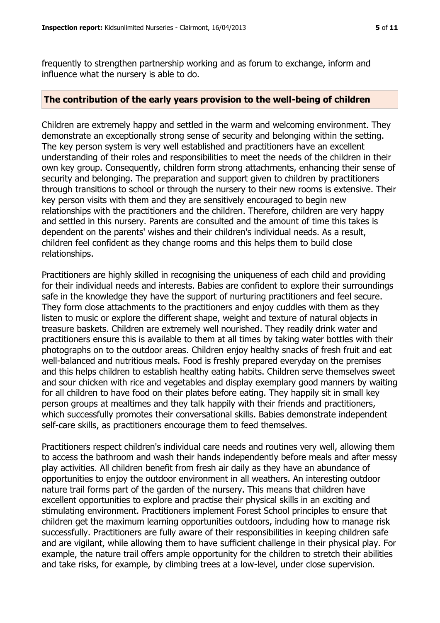frequently to strengthen partnership working and as forum to exchange, inform and influence what the nursery is able to do.

#### **The contribution of the early years provision to the well-being of children**

Children are extremely happy and settled in the warm and welcoming environment. They demonstrate an exceptionally strong sense of security and belonging within the setting. The key person system is very well established and practitioners have an excellent understanding of their roles and responsibilities to meet the needs of the children in their own key group. Consequently, children form strong attachments, enhancing their sense of security and belonging. The preparation and support given to children by practitioners through transitions to school or through the nursery to their new rooms is extensive. Their key person visits with them and they are sensitively encouraged to begin new relationships with the practitioners and the children. Therefore, children are very happy and settled in this nursery. Parents are consulted and the amount of time this takes is dependent on the parents' wishes and their children's individual needs. As a result, children feel confident as they change rooms and this helps them to build close relationships.

Practitioners are highly skilled in recognising the uniqueness of each child and providing for their individual needs and interests. Babies are confident to explore their surroundings safe in the knowledge they have the support of nurturing practitioners and feel secure. They form close attachments to the practitioners and enjoy cuddles with them as they listen to music or explore the different shape, weight and texture of natural objects in treasure baskets. Children are extremely well nourished. They readily drink water and practitioners ensure this is available to them at all times by taking water bottles with their photographs on to the outdoor areas. Children enjoy healthy snacks of fresh fruit and eat well-balanced and nutritious meals. Food is freshly prepared everyday on the premises and this helps children to establish healthy eating habits. Children serve themselves sweet and sour chicken with rice and vegetables and display exemplary good manners by waiting for all children to have food on their plates before eating. They happily sit in small key person groups at mealtimes and they talk happily with their friends and practitioners, which successfully promotes their conversational skills. Babies demonstrate independent self-care skills, as practitioners encourage them to feed themselves.

Practitioners respect children's individual care needs and routines very well, allowing them to access the bathroom and wash their hands independently before meals and after messy play activities. All children benefit from fresh air daily as they have an abundance of opportunities to enjoy the outdoor environment in all weathers. An interesting outdoor nature trail forms part of the garden of the nursery. This means that children have excellent opportunities to explore and practise their physical skills in an exciting and stimulating environment. Practitioners implement Forest School principles to ensure that children get the maximum learning opportunities outdoors, including how to manage risk successfully. Practitioners are fully aware of their responsibilities in keeping children safe and are vigilant, while allowing them to have sufficient challenge in their physical play. For example, the nature trail offers ample opportunity for the children to stretch their abilities and take risks, for example, by climbing trees at a low-level, under close supervision.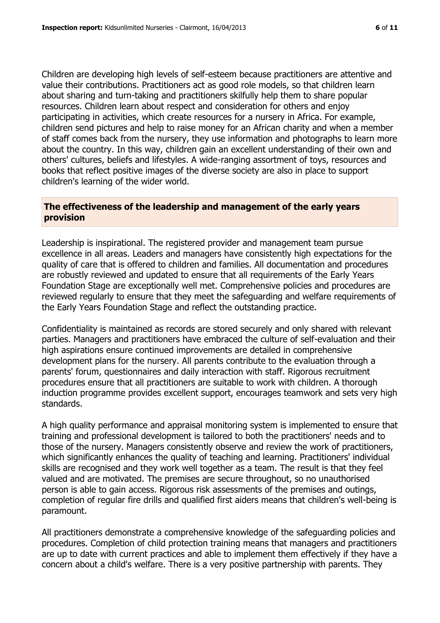Children are developing high levels of self-esteem because practitioners are attentive and value their contributions. Practitioners act as good role models, so that children learn about sharing and turn-taking and practitioners skilfully help them to share popular resources. Children learn about respect and consideration for others and enjoy participating in activities, which create resources for a nursery in Africa. For example, children send pictures and help to raise money for an African charity and when a member of staff comes back from the nursery, they use information and photographs to learn more about the country. In this way, children gain an excellent understanding of their own and others' cultures, beliefs and lifestyles. A wide-ranging assortment of toys, resources and books that reflect positive images of the diverse society are also in place to support children's learning of the wider world.

# **The effectiveness of the leadership and management of the early years provision**

Leadership is inspirational. The registered provider and management team pursue excellence in all areas. Leaders and managers have consistently high expectations for the quality of care that is offered to children and families. All documentation and procedures are robustly reviewed and updated to ensure that all requirements of the Early Years Foundation Stage are exceptionally well met. Comprehensive policies and procedures are reviewed regularly to ensure that they meet the safeguarding and welfare requirements of the Early Years Foundation Stage and reflect the outstanding practice.

Confidentiality is maintained as records are stored securely and only shared with relevant parties. Managers and practitioners have embraced the culture of self-evaluation and their high aspirations ensure continued improvements are detailed in comprehensive development plans for the nursery. All parents contribute to the evaluation through a parents' forum, questionnaires and daily interaction with staff. Rigorous recruitment procedures ensure that all practitioners are suitable to work with children. A thorough induction programme provides excellent support, encourages teamwork and sets very high standards.

A high quality performance and appraisal monitoring system is implemented to ensure that training and professional development is tailored to both the practitioners' needs and to those of the nursery. Managers consistently observe and review the work of practitioners, which significantly enhances the quality of teaching and learning. Practitioners' individual skills are recognised and they work well together as a team. The result is that they feel valued and are motivated. The premises are secure throughout, so no unauthorised person is able to gain access. Rigorous risk assessments of the premises and outings, completion of regular fire drills and qualified first aiders means that children's well-being is paramount.

All practitioners demonstrate a comprehensive knowledge of the safeguarding policies and procedures. Completion of child protection training means that managers and practitioners are up to date with current practices and able to implement them effectively if they have a concern about a child's welfare. There is a very positive partnership with parents. They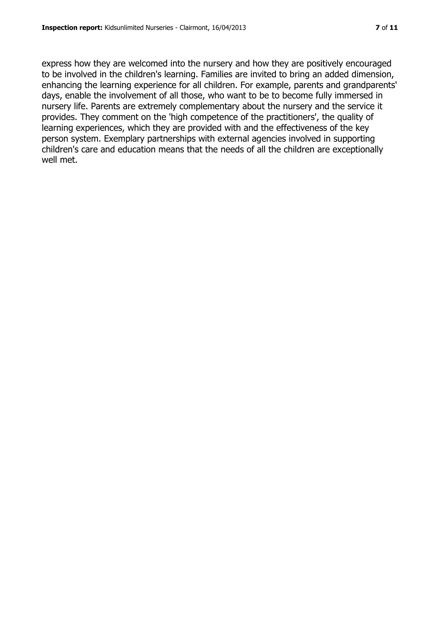express how they are welcomed into the nursery and how they are positively encouraged to be involved in the children's learning. Families are invited to bring an added dimension, enhancing the learning experience for all children. For example, parents and grandparents' days, enable the involvement of all those, who want to be to become fully immersed in nursery life. Parents are extremely complementary about the nursery and the service it provides. They comment on the 'high competence of the practitioners', the quality of learning experiences, which they are provided with and the effectiveness of the key person system. Exemplary partnerships with external agencies involved in supporting children's care and education means that the needs of all the children are exceptionally well met.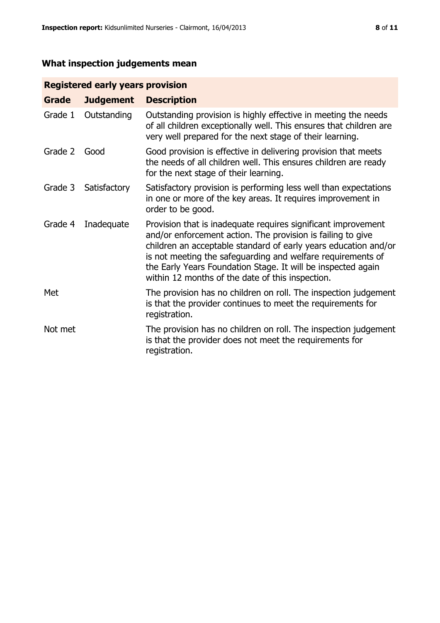# **What inspection judgements mean**

# **Registered early years provision**

| <b>Grade</b> | <b>Judgement</b> | <b>Description</b>                                                                                                                                                                                                                                                                                                                                                                 |
|--------------|------------------|------------------------------------------------------------------------------------------------------------------------------------------------------------------------------------------------------------------------------------------------------------------------------------------------------------------------------------------------------------------------------------|
| Grade 1      | Outstanding      | Outstanding provision is highly effective in meeting the needs<br>of all children exceptionally well. This ensures that children are<br>very well prepared for the next stage of their learning.                                                                                                                                                                                   |
| Grade 2      | Good             | Good provision is effective in delivering provision that meets<br>the needs of all children well. This ensures children are ready<br>for the next stage of their learning.                                                                                                                                                                                                         |
| Grade 3      | Satisfactory     | Satisfactory provision is performing less well than expectations<br>in one or more of the key areas. It requires improvement in<br>order to be good.                                                                                                                                                                                                                               |
| Grade 4      | Inadequate       | Provision that is inadequate requires significant improvement<br>and/or enforcement action. The provision is failing to give<br>children an acceptable standard of early years education and/or<br>is not meeting the safeguarding and welfare requirements of<br>the Early Years Foundation Stage. It will be inspected again<br>within 12 months of the date of this inspection. |
| Met          |                  | The provision has no children on roll. The inspection judgement<br>is that the provider continues to meet the requirements for<br>registration.                                                                                                                                                                                                                                    |
| Not met      |                  | The provision has no children on roll. The inspection judgement<br>is that the provider does not meet the requirements for<br>registration.                                                                                                                                                                                                                                        |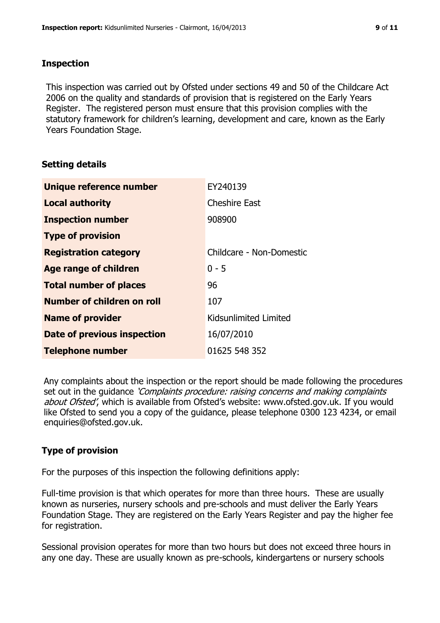# **Inspection**

This inspection was carried out by Ofsted under sections 49 and 50 of the Childcare Act 2006 on the quality and standards of provision that is registered on the Early Years Register. The registered person must ensure that this provision complies with the statutory framework for children's learning, development and care, known as the Early Years Foundation Stage.

# **Setting details**

| Unique reference number       | EY240139                 |
|-------------------------------|--------------------------|
| <b>Local authority</b>        | <b>Cheshire East</b>     |
| <b>Inspection number</b>      | 908900                   |
| <b>Type of provision</b>      |                          |
| <b>Registration category</b>  | Childcare - Non-Domestic |
| <b>Age range of children</b>  | $0 - 5$                  |
| <b>Total number of places</b> | 96                       |
| Number of children on roll    | 107                      |
| <b>Name of provider</b>       | Kidsunlimited Limited    |
| Date of previous inspection   | 16/07/2010               |
| <b>Telephone number</b>       | 01625 548 352            |

Any complaints about the inspection or the report should be made following the procedures set out in the guidance *'Complaints procedure: raising concerns and making complaints* about Ofsted', which is available from Ofsted's website: www.ofsted.gov.uk. If you would like Ofsted to send you a copy of the guidance, please telephone 0300 123 4234, or email enquiries@ofsted.gov.uk.

# **Type of provision**

For the purposes of this inspection the following definitions apply:

Full-time provision is that which operates for more than three hours. These are usually known as nurseries, nursery schools and pre-schools and must deliver the Early Years Foundation Stage. They are registered on the Early Years Register and pay the higher fee for registration.

Sessional provision operates for more than two hours but does not exceed three hours in any one day. These are usually known as pre-schools, kindergartens or nursery schools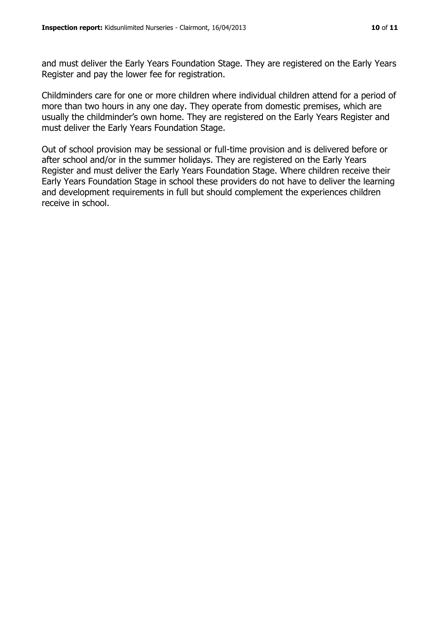and must deliver the Early Years Foundation Stage. They are registered on the Early Years Register and pay the lower fee for registration.

Childminders care for one or more children where individual children attend for a period of more than two hours in any one day. They operate from domestic premises, which are usually the childminder's own home. They are registered on the Early Years Register and must deliver the Early Years Foundation Stage.

Out of school provision may be sessional or full-time provision and is delivered before or after school and/or in the summer holidays. They are registered on the Early Years Register and must deliver the Early Years Foundation Stage. Where children receive their Early Years Foundation Stage in school these providers do not have to deliver the learning and development requirements in full but should complement the experiences children receive in school.